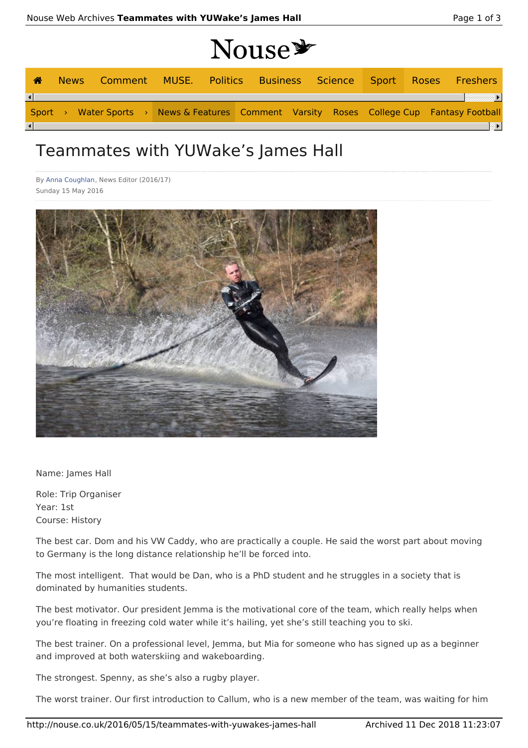|  | <b>Nouse*</b> |  |
|--|---------------|--|
|  |               |  |

| <b>A</b>               |  |  |  | News Comment MUSE. Politics Business Science Sport Roses Freshers                         |  |  |  |
|------------------------|--|--|--|-------------------------------------------------------------------------------------------|--|--|--|
| $\left  \cdot \right $ |  |  |  |                                                                                           |  |  |  |
|                        |  |  |  | Sport > Water Sports > News & Features Comment Varsity Roses College Cup Fantasy Football |  |  |  |
| $\left  \cdot \right $ |  |  |  |                                                                                           |  |  |  |

## Teammates with YUWake's James Hall

By Anna Coughlan, News Editor (2016/17) Sunday 15 May 2016



Name: James Hall

Role: Trip Organiser Year: 1st Course: History

The best car. Dom and his VW Caddy, who are practically a couple. He said the worst part about moving to Germany is the long distance relationship he'll be forced into.

The most intelligent. That would be Dan, who is a PhD student and he struggles in a society that is dominated by humanities students.

The best motivator. Our president Jemma is the motivational core of the team, which really helps when you're floating in freezing cold water while it's hailing, yet she's still teaching you to ski.

The best trainer. On a professional level, Jemma, but Mia for someone who has signed up as a beginner and improved at both waterskiing and wakeboarding.

The strongest. Spenny, as she's also a rugby player.

The worst trainer. Our first introduction to Callum, who is a new member of the team, was waiting for him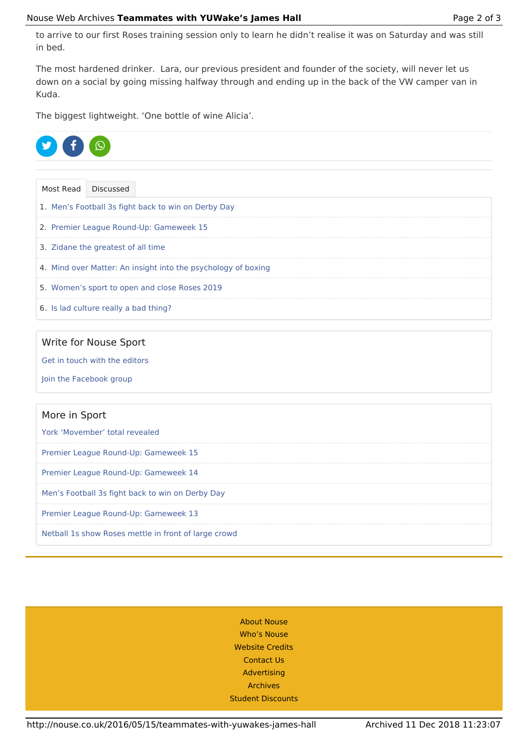to arrive to our first Roses training session only to learn he didn't realise it was on Saturday and was still in bed.

The most hardened drinker. Lara, our previous president and founder of the society, will never let us down on a social by going missing halfway through and ending up in the back of the VW camper van in Kuda.

The biggest lightweight. 'One bottle of wine Alicia'.



Most Read Discussed 1. Men's Football 3s fight back to win on Derby Day 2. Premier League Round-Up: Gameweek 15 3. Zidane the greatest of all time 4. Mind over Matter: An insight into the psychology of boxing 5. Women's sport to open and close Roses 2019 6. Is lad culture really a bad thing?

## Write for Nouse Sport

Get in touch with the editors

Join the Facebook group

## More in Sport

York 'Movember' total revealed

Premier League Round-Up: Gameweek 15

Premier League Round-Up: Gameweek 14

Men's Football 3s fight back to win on Derby Day

Premier League Round-Up: Gameweek 13

Netball 1s show Roses mettle in front of large crowd

About Nouse Who's Nouse Website Credits Contact Us Advertising Archives Student Discounts